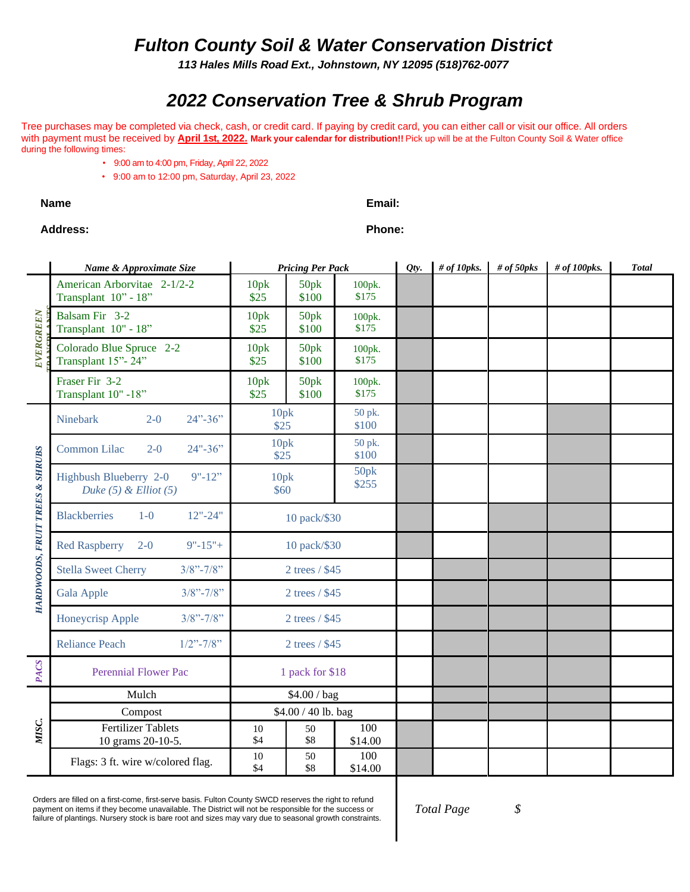## *Fulton County Soil & Water Conservation District*

*113 Hales Mills Road Ext., Johnstown, NY 12095 (518)762-0077*

# *2022 Conservation Tree & Shrub Program*

Tree purchases may be completed via check, cash, or credit card. If paying by credit card, you can either call or visit our office. All orders with payment must be received by **April 1st, 2022. Mark your calendar for distribution!!** Pick up will be at the Fulton County Soil & Water office during the following times:

- 9:00 am to 4:00 pm, Friday, April 22, 2022
- 9:00 am to 12:00 pm, Saturday, April 23, 2022

**Name Email:**

### **Address: Phone:**

|                                 | Name & Approximate Size                                           |                          | <b>Pricing Per Pack</b> |                 |  | # of $10$ pks. | # of $50pks$ | # of 100pks. | <b>Total</b> |
|---------------------------------|-------------------------------------------------------------------|--------------------------|-------------------------|-----------------|--|----------------|--------------|--------------|--------------|
| EVERGREEN                       | American Arborvitae 2-1/2-2<br>Transplant 10" - 18"               | 10pk<br>\$25             | 50pk<br>\$100           | 100pk.<br>\$175 |  |                |              |              |              |
|                                 | Balsam Fir 3-2<br>Transplant 10" - 18"                            | 10pk<br>\$25             | 50pk<br>\$100           | 100pk.<br>\$175 |  |                |              |              |              |
|                                 | Colorado Blue Spruce 2-2<br>Transplant 15"-24"                    | 10pk<br>\$25             | 50pk<br>\$100           | 100pk.<br>\$175 |  |                |              |              |              |
|                                 | Fraser Fir 3-2<br>Transplant 10" -18"                             | 10pk<br>\$25             | 50pk<br>\$100           | 100pk.<br>\$175 |  |                |              |              |              |
| HARDWOODS, FRUIT TREES & SHRUBS | <b>Ninebark</b><br>$24" - 36"$<br>$2 - 0$                         | 10pk<br>\$25             |                         | 50 pk.<br>\$100 |  |                |              |              |              |
|                                 | Common Lilac<br>$24" - 36"$<br>$2 - 0$                            | 10pk<br>\$25             |                         | 50 pk.<br>\$100 |  |                |              |              |              |
|                                 | $9" - 12"$<br>Highbush Blueberry 2-0<br>Duke $(5)$ & Elliot $(5)$ | 10pk<br>$\overline{$}60$ |                         | 50pk<br>\$255   |  |                |              |              |              |
|                                 | <b>Blackberries</b><br>$1-0$<br>$12" - 24"$                       | 10 pack/\$30             |                         |                 |  |                |              |              |              |
|                                 | <b>Red Raspberry</b><br>$2 - 0$<br>$9" - 15" +$                   | 10 pack/\$30             |                         |                 |  |                |              |              |              |
|                                 | <b>Stella Sweet Cherry</b><br>$3/8$ "-7/8"                        | 2 trees / \$45           |                         |                 |  |                |              |              |              |
|                                 | $3/8$ "-7/8"<br>Gala Apple                                        | 2 trees / \$45           |                         |                 |  |                |              |              |              |
|                                 | $3/8$ "-7/8"<br>Honeycrisp Apple                                  | 2 trees / \$45           |                         |                 |  |                |              |              |              |
|                                 | $1/2$ "-7/8"<br><b>Reliance Peach</b>                             | 2 trees / \$45           |                         |                 |  |                |              |              |              |
| <b>PACS</b>                     | Perennial Flower Pac                                              | 1 pack for \$18          |                         |                 |  |                |              |              |              |
| MISC.                           | Mulch                                                             | \$4.00 / bag             |                         |                 |  |                |              |              |              |
|                                 | Compost                                                           | \$4.00 / 40 lb. bag      |                         |                 |  |                |              |              |              |
|                                 | <b>Fertilizer Tablets</b><br>10 grams 20-10-5.                    | 10<br>\$4                | 50<br>\$8               | 100<br>\$14.00  |  |                |              |              |              |
|                                 | Flags: 3 ft. wire w/colored flag.                                 | 10<br>\$4                | 50<br>\$8               | 100<br>\$14.00  |  |                |              |              |              |

Orders are filled on a first-come, first-serve basis. Fulton County SWCD reserves the right to refund payment on items if they become unavailable. The District will not be responsible for the success or failure of plantings. Nursery stock is bare root and sizes may vary due to seasonal growth constraints.

*Total Page \$*